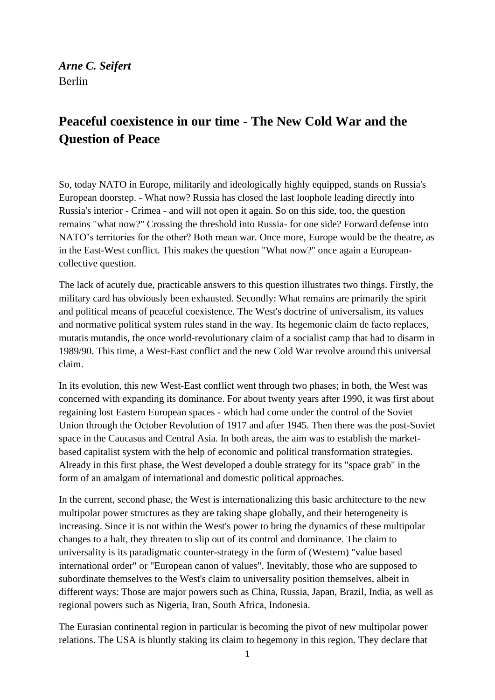# *Arne C. Seifert* Berlin

# **Peaceful coexistence in our time - The New Cold War and the Question of Peace**

So, today NATO in Europe, militarily and ideologically highly equipped, stands on Russia's European doorstep. - What now? Russia has closed the last loophole leading directly into Russia's interior - Crimea - and will not open it again. So on this side, too, the question remains "what now?" Crossing the threshold into Russia- for one side? Forward defense into NATO's territories for the other? Both mean war. Once more, Europe would be the theatre, as in the East-West conflict. This makes the question "What now?" once again a Europeancollective question.

The lack of acutely due, practicable answers to this question illustrates two things. Firstly, the military card has obviously been exhausted. Secondly: What remains are primarily the spirit and political means of peaceful coexistence. The West's doctrine of universalism, its values and normative political system rules stand in the way. Its hegemonic claim de facto replaces, mutatis mutandis, the once world-revolutionary claim of a socialist camp that had to disarm in 1989/90. This time, a West-East conflict and the new Cold War revolve around this universal claim.

In its evolution, this new West-East conflict went through two phases; in both, the West was concerned with expanding its dominance. For about twenty years after 1990, it was first about regaining lost Eastern European spaces - which had come under the control of the Soviet Union through the October Revolution of 1917 and after 1945. Then there was the post-Soviet space in the Caucasus and Central Asia. In both areas, the aim was to establish the marketbased capitalist system with the help of economic and political transformation strategies. Already in this first phase, the West developed a double strategy for its "space grab" in the form of an amalgam of international and domestic political approaches.

In the current, second phase, the West is internationalizing this basic architecture to the new multipolar power structures as they are taking shape globally, and their heterogeneity is increasing. Since it is not within the West's power to bring the dynamics of these multipolar changes to a halt, they threaten to slip out of its control and dominance. The claim to universality is its paradigmatic counter-strategy in the form of (Western) "value based international order" or "European canon of values". Inevitably, those who are supposed to subordinate themselves to the West's claim to universality position themselves, albeit in different ways: Those are major powers such as China, Russia, Japan, Brazil, India, as well as regional powers such as Nigeria, Iran, South Africa, Indonesia.

The Eurasian continental region in particular is becoming the pivot of new multipolar power relations. The USA is bluntly staking its claim to hegemony in this region. They declare that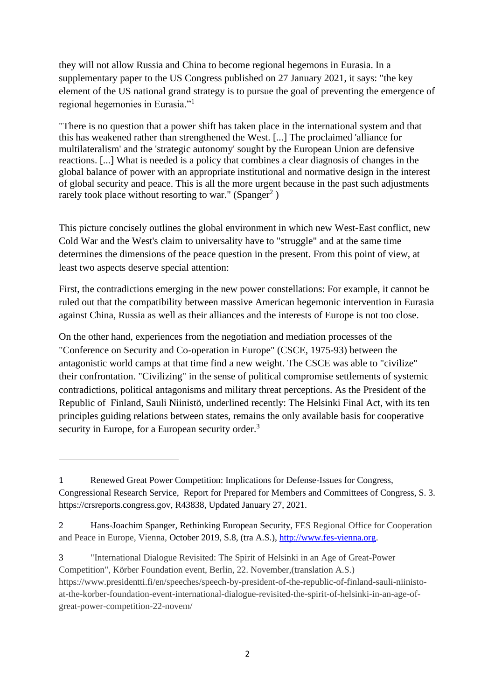they will not allow Russia and China to become regional hegemons in Eurasia. In a supplementary paper to the US Congress published on 27 January 2021, it says: "the key element of the US national grand strategy is to pursue the goal of preventing the emergence of regional hegemonies in Eurasia."<sup>1</sup>

"There is no question that a power shift has taken place in the international system and that this has weakened rather than strengthened the West. [...] The proclaimed 'alliance for multilateralism' and the 'strategic autonomy' sought by the European Union are defensive reactions. [...] What is needed is a policy that combines a clear diagnosis of changes in the global balance of power with an appropriate institutional and normative design in the interest of global security and peace. This is all the more urgent because in the past such adjustments rarely took place without resorting to war." (Spanger<sup>2</sup>)

This picture concisely outlines the global environment in which new West-East conflict, new Cold War and the West's claim to universality have to "struggle" and at the same time determines the dimensions of the peace question in the present. From this point of view, at least two aspects deserve special attention:

First, the contradictions emerging in the new power constellations: For example, it cannot be ruled out that the compatibility between massive American hegemonic intervention in Eurasia against China, Russia as well as their alliances and the interests of Europe is not too close.

On the other hand, experiences from the negotiation and mediation processes of the "Conference on Security and Co-operation in Europe" (CSCE, 1975-93) between the antagonistic world camps at that time find a new weight. The CSCE was able to "civilize" their confrontation. "Civilizing" in the sense of political compromise settlements of systemic contradictions, political antagonisms and military threat perceptions. As the President of the Republic of Finland, Sauli Niinistö, underlined recently: The Helsinki Final Act, with its ten principles guiding relations between states, remains the only available basis for cooperative security in Europe, for a European security order.<sup>3</sup>

<sup>1</sup> Renewed Great Power Competition: Implications for Defense-Issues for Congress, Congressional Research Service, Report for Prepared for Members and Committees of Congress, S. 3. https://crsreports.congress.gov, R43838, Updated January 27, 2021.

<sup>2</sup> Hans-Joachim Spanger, Rethinking European Security, FES Regional Office for Cooperation and Peace in Europe, Vienna, October 2019, S.8*,* (tra A.S.), [http://www.fes-vienna.org.](http://www.fes-vienna.org/)

<sup>3</sup> "International Dialogue Revisited: The Spirit of Helsinki in an Age of Great-Power Competition", Körber Foundation event, Berlin, 22. November,(translation A.S.) https://www.presidentti.fi/en/speeches/speech-by-president-of-the-republic-of-finland-sauli-niinistoat-the-korber-foundation-event-international-dialogue-revisited-the-spirit-of-helsinki-in-an-age-ofgreat-power-competition-22-novem/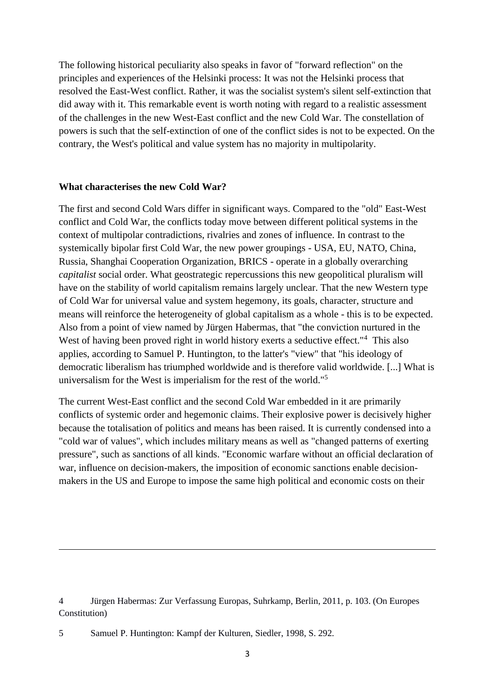The following historical peculiarity also speaks in favor of "forward reflection" on the principles and experiences of the Helsinki process: It was not the Helsinki process that resolved the East-West conflict. Rather, it was the socialist system's silent self-extinction that did away with it. This remarkable event is worth noting with regard to a realistic assessment of the challenges in the new West-East conflict and the new Cold War. The constellation of powers is such that the self-extinction of one of the conflict sides is not to be expected. On the contrary, the West's political and value system has no majority in multipolarity.

#### **What characterises the new Cold War?**

The first and second Cold Wars differ in significant ways. Compared to the "old" East-West conflict and Cold War, the conflicts today move between different political systems in the context of multipolar contradictions, rivalries and zones of influence. In contrast to the systemically bipolar first Cold War, the new power groupings - USA, EU, NATO, China, Russia, Shanghai Cooperation Organization, BRICS - operate in a globally overarching *capitalist* social order. What geostrategic repercussions this new geopolitical pluralism will have on the stability of world capitalism remains largely unclear. That the new Western type of Cold War for universal value and system hegemony, its goals, character, structure and means will reinforce the heterogeneity of global capitalism as a whole - this is to be expected. Also from a point of view named by Jürgen Habermas, that "the conviction nurtured in the West of having been proved right in world history exerts a seductive effect."<sup>4</sup> This also applies, according to Samuel P. Huntington, to the latter's "view" that "his ideology of democratic liberalism has triumphed worldwide and is therefore valid worldwide. [...] What is universalism for the West is imperialism for the rest of the world."<sup>5</sup>

The current West-East conflict and the second Cold War embedded in it are primarily conflicts of systemic order and hegemonic claims. Their explosive power is decisively higher because the totalisation of politics and means has been raised. It is currently condensed into a "cold war of values", which includes military means as well as "changed patterns of exerting pressure", such as sanctions of all kinds. "Economic warfare without an official declaration of war, influence on decision-makers, the imposition of economic sanctions enable decisionmakers in the US and Europe to impose the same high political and economic costs on their

<sup>4</sup> Jürgen Habermas: Zur Verfassung Europas, Suhrkamp, Berlin, 2011, p. 103. (On Europes Constitution)

<sup>5</sup> Samuel P. Huntington: Kampf der Kulturen, Siedler, 1998, S. 292.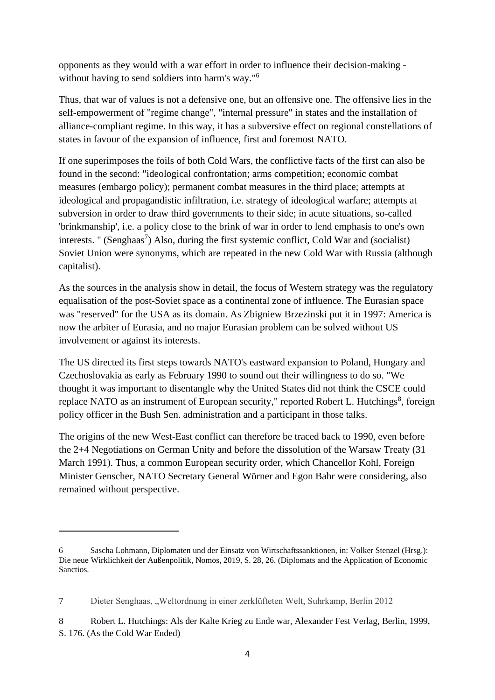opponents as they would with a war effort in order to influence their decision-making without having to send soldiers into harm's way."<sup>6</sup>

Thus, that war of values is not a defensive one, but an offensive one. The offensive lies in the self-empowerment of "regime change", "internal pressure" in states and the installation of alliance-compliant regime. In this way, it has a subversive effect on regional constellations of states in favour of the expansion of influence, first and foremost NATO.

If one superimposes the foils of both Cold Wars, the conflictive facts of the first can also be found in the second: "ideological confrontation; arms competition; economic combat measures (embargo policy); permanent combat measures in the third place; attempts at ideological and propagandistic infiltration, i.e. strategy of ideological warfare; attempts at subversion in order to draw third governments to their side; in acute situations, so-called 'brinkmanship', i.e. a policy close to the brink of war in order to lend emphasis to one's own interests. " (Senghaas<sup>7</sup>) Also, during the first systemic conflict, Cold War and (socialist) Soviet Union were synonyms, which are repeated in the new Cold War with Russia (although capitalist).

As the sources in the analysis show in detail, the focus of Western strategy was the regulatory equalisation of the post-Soviet space as a continental zone of influence. The Eurasian space was "reserved" for the USA as its domain. As Zbigniew Brzezinski put it in 1997: America is now the arbiter of Eurasia, and no major Eurasian problem can be solved without US involvement or against its interests.

The US directed its first steps towards NATO's eastward expansion to Poland, Hungary and Czechoslovakia as early as February 1990 to sound out their willingness to do so. "We thought it was important to disentangle why the United States did not think the CSCE could replace NATO as an instrument of European security," reported Robert L. Hutchings<sup>8</sup>, foreign policy officer in the Bush Sen. administration and a participant in those talks.

The origins of the new West-East conflict can therefore be traced back to 1990, even before the 2+4 Negotiations on German Unity and before the dissolution of the Warsaw Treaty (31 March 1991). Thus, a common European security order, which Chancellor Kohl, Foreign Minister Genscher, NATO Secretary General Wörner and Egon Bahr were considering, also remained without perspective.

<sup>6</sup> Sascha Lohmann, Diplomaten und der Einsatz von Wirtschaftssanktionen, in: Volker Stenzel (Hrsg.): Die neue Wirklichkeit der Außenpolitik, Nomos, 2019, S. 28, 26. (Diplomats and the Application of Economic Sanctios.

<sup>7</sup> Dieter Senghaas, "Weltordnung in einer zerklüfteten Welt, Suhrkamp, Berlin 2012

<sup>8</sup> Robert L. Hutchings: Als der Kalte Krieg zu Ende war, Alexander Fest Verlag, Berlin, 1999, S. 176. (As the Cold War Ended)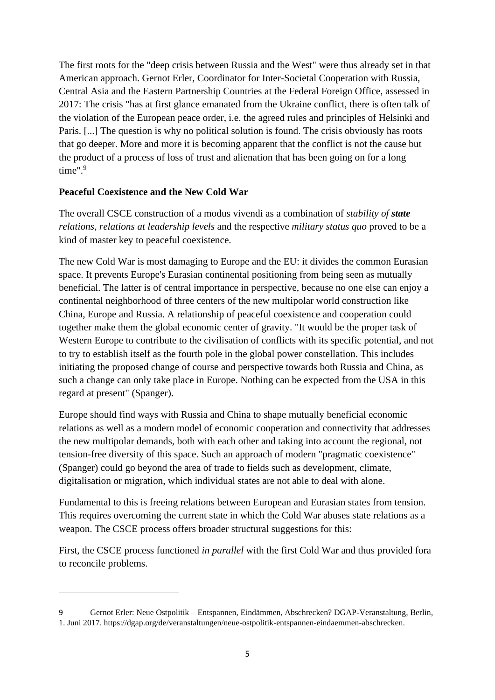The first roots for the "deep crisis between Russia and the West" were thus already set in that American approach. Gernot Erler, Coordinator for Inter-Societal Cooperation with Russia, Central Asia and the Eastern Partnership Countries at the Federal Foreign Office, assessed in 2017: The crisis "has at first glance emanated from the Ukraine conflict, there is often talk of the violation of the European peace order, i.e. the agreed rules and principles of Helsinki and Paris. [...] The question is why no political solution is found. The crisis obviously has roots that go deeper. More and more it is becoming apparent that the conflict is not the cause but the product of a process of loss of trust and alienation that has been going on for a long time". $9$ 

### **Peaceful Coexistence and the New Cold War**

The overall CSCE construction of a modus vivendi as a combination of *stability of state relations*, *relations at leadership levels* and the respective *military status quo* proved to be a kind of master key to peaceful coexistence.

The new Cold War is most damaging to Europe and the EU: it divides the common Eurasian space. It prevents Europe's Eurasian continental positioning from being seen as mutually beneficial. The latter is of central importance in perspective, because no one else can enjoy a continental neighborhood of three centers of the new multipolar world construction like China, Europe and Russia. A relationship of peaceful coexistence and cooperation could together make them the global economic center of gravity. "It would be the proper task of Western Europe to contribute to the civilisation of conflicts with its specific potential, and not to try to establish itself as the fourth pole in the global power constellation. This includes initiating the proposed change of course and perspective towards both Russia and China, as such a change can only take place in Europe. Nothing can be expected from the USA in this regard at present" (Spanger).

Europe should find ways with Russia and China to shape mutually beneficial economic relations as well as a modern model of economic cooperation and connectivity that addresses the new multipolar demands, both with each other and taking into account the regional, not tension-free diversity of this space. Such an approach of modern "pragmatic coexistence" (Spanger) could go beyond the area of trade to fields such as development, climate, digitalisation or migration, which individual states are not able to deal with alone.

Fundamental to this is freeing relations between European and Eurasian states from tension. This requires overcoming the current state in which the Cold War abuses state relations as a weapon. The CSCE process offers broader structural suggestions for this:

First, the CSCE process functioned *in parallel* with the first Cold War and thus provided fora to reconcile problems.

<sup>9</sup> Gernot Erler: Neue Ostpolitik – Entspannen, Eindämmen, Abschrecken? DGAP-Veranstaltung, Berlin, 1. Juni 2017. https://dgap.org/de/veranstaltungen/neue-ostpolitik-entspannen-eindaemmen-abschrecken.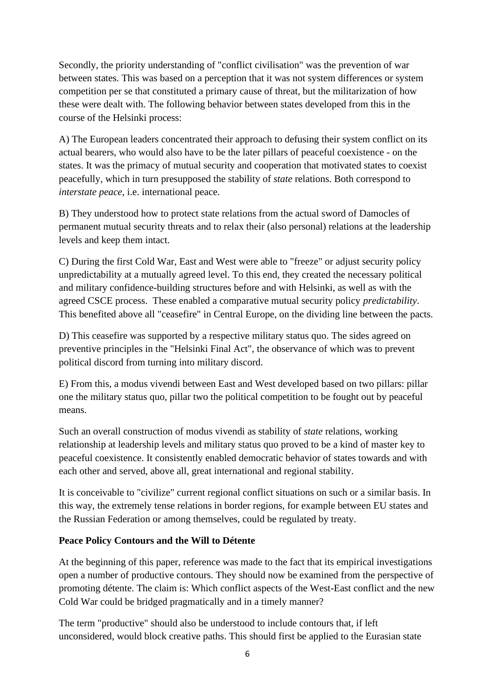Secondly, the priority understanding of "conflict civilisation" was the prevention of war between states. This was based on a perception that it was not system differences or system competition per se that constituted a primary cause of threat, but the militarization of how these were dealt with. The following behavior between states developed from this in the course of the Helsinki process:

A) The European leaders concentrated their approach to defusing their system conflict on its actual bearers, who would also have to be the later pillars of peaceful coexistence - on the states. It was the primacy of mutual security and cooperation that motivated states to coexist peacefully, which in turn presupposed the stability of *state* relations. Both correspond to *interstate peace*, i.e. international peace.

B) They understood how to protect state relations from the actual sword of Damocles of permanent mutual security threats and to relax their (also personal) relations at the leadership levels and keep them intact.

C) During the first Cold War, East and West were able to "freeze" or adjust security policy unpredictability at a mutually agreed level. To this end, they created the necessary political and military confidence-building structures before and with Helsinki, as well as with the agreed CSCE process. These enabled a comparative mutual security policy *predictability*. This benefited above all "ceasefire" in Central Europe, on the dividing line between the pacts.

D) This ceasefire was supported by a respective military status quo. The sides agreed on preventive principles in the "Helsinki Final Act", the observance of which was to prevent political discord from turning into military discord.

E) From this, a modus vivendi between East and West developed based on two pillars: pillar one the military status quo, pillar two the political competition to be fought out by peaceful means.

Such an overall construction of modus vivendi as stability of *state* relations, working relationship at leadership levels and military status quo proved to be a kind of master key to peaceful coexistence. It consistently enabled democratic behavior of states towards and with each other and served, above all, great international and regional stability.

It is conceivable to "civilize" current regional conflict situations on such or a similar basis. In this way, the extremely tense relations in border regions, for example between EU states and the Russian Federation or among themselves, could be regulated by treaty.

## **Peace Policy Contours and the Will to Détente**

At the beginning of this paper, reference was made to the fact that its empirical investigations open a number of productive contours. They should now be examined from the perspective of promoting détente. The claim is: Which conflict aspects of the West-East conflict and the new Cold War could be bridged pragmatically and in a timely manner?

The term "productive" should also be understood to include contours that, if left unconsidered, would block creative paths. This should first be applied to the Eurasian state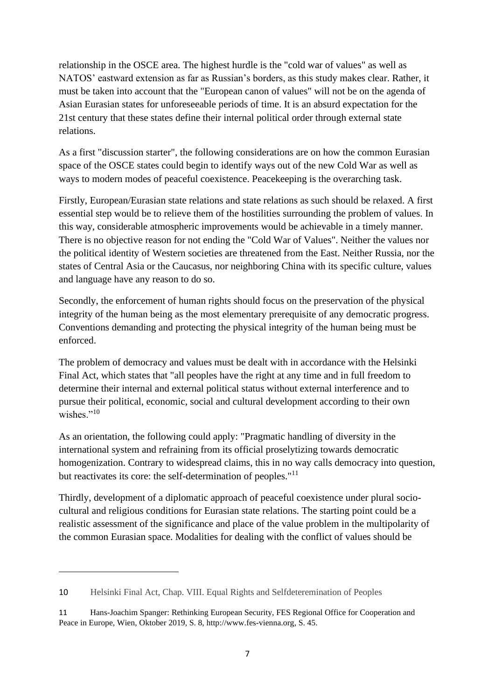relationship in the OSCE area. The highest hurdle is the "cold war of values" as well as NATOS' eastward extension as far as Russian's borders, as this study makes clear. Rather, it must be taken into account that the "European canon of values" will not be on the agenda of Asian Eurasian states for unforeseeable periods of time. It is an absurd expectation for the 21st century that these states define their internal political order through external state relations.

As a first "discussion starter", the following considerations are on how the common Eurasian space of the OSCE states could begin to identify ways out of the new Cold War as well as ways to modern modes of peaceful coexistence. Peacekeeping is the overarching task.

Firstly, European/Eurasian state relations and state relations as such should be relaxed. A first essential step would be to relieve them of the hostilities surrounding the problem of values. In this way, considerable atmospheric improvements would be achievable in a timely manner. There is no objective reason for not ending the "Cold War of Values". Neither the values nor the political identity of Western societies are threatened from the East. Neither Russia, nor the states of Central Asia or the Caucasus, nor neighboring China with its specific culture, values and language have any reason to do so.

Secondly, the enforcement of human rights should focus on the preservation of the physical integrity of the human being as the most elementary prerequisite of any democratic progress. Conventions demanding and protecting the physical integrity of the human being must be enforced.

The problem of democracy and values must be dealt with in accordance with the Helsinki Final Act, which states that "all peoples have the right at any time and in full freedom to determine their internal and external political status without external interference and to pursue their political, economic, social and cultural development according to their own wishes."<sup>10</sup>

As an orientation, the following could apply: "Pragmatic handling of diversity in the international system and refraining from its official proselytizing towards democratic homogenization. Contrary to widespread claims, this in no way calls democracy into question, but reactivates its core: the self-determination of peoples."<sup>11</sup>

Thirdly, development of a diplomatic approach of peaceful coexistence under plural sociocultural and religious conditions for Eurasian state relations. The starting point could be a realistic assessment of the significance and place of the value problem in the multipolarity of the common Eurasian space. Modalities for dealing with the conflict of values should be

<sup>10</sup> Helsinki Final Act, Chap. VIII. Equal Rights and Selfdeteremination of Peoples

<sup>11</sup> Hans-Joachim Spanger: Rethinking European Security, FES Regional Office for Cooperation and Peace in Europe, Wien, Oktober 2019, S. 8, [http://www.fes-vienna.org,](http://www.fes-vienna.org/) S. 45.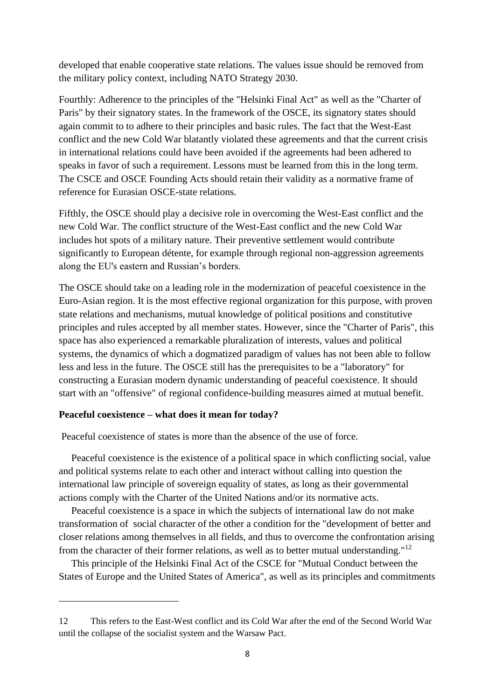developed that enable cooperative state relations. The values issue should be removed from the military policy context, including NATO Strategy 2030.

Fourthly: Adherence to the principles of the "Helsinki Final Act" as well as the "Charter of Paris" by their signatory states. In the framework of the OSCE, its signatory states should again commit to to adhere to their principles and basic rules. The fact that the West-East conflict and the new Cold War blatantly violated these agreements and that the current crisis in international relations could have been avoided if the agreements had been adhered to speaks in favor of such a requirement. Lessons must be learned from this in the long term. The CSCE and OSCE Founding Acts should retain their validity as a normative frame of reference for Eurasian OSCE-state relations.

Fifthly, the OSCE should play a decisive role in overcoming the West-East conflict and the new Cold War. The conflict structure of the West-East conflict and the new Cold War includes hot spots of a military nature. Their preventive settlement would contribute significantly to European détente, for example through regional non-aggression agreements along the EU's eastern and Russian's borders.

The OSCE should take on a leading role in the modernization of peaceful coexistence in the Euro-Asian region. It is the most effective regional organization for this purpose, with proven state relations and mechanisms, mutual knowledge of political positions and constitutive principles and rules accepted by all member states. However, since the "Charter of Paris", this space has also experienced a remarkable pluralization of interests, values and political systems, the dynamics of which a dogmatized paradigm of values has not been able to follow less and less in the future. The OSCE still has the prerequisites to be a "laboratory" for constructing a Eurasian modern dynamic understanding of peaceful coexistence. It should start with an "offensive" of regional confidence-building measures aimed at mutual benefit.

#### **Peaceful coexistence – what does it mean for today?**

Peaceful coexistence of states is more than the absence of the use of force.

 Peaceful coexistence is the existence of a political space in which conflicting social, value and political systems relate to each other and interact without calling into question the international law principle of sovereign equality of states, as long as their governmental actions comply with the Charter of the United Nations and/or its normative acts.

 Peaceful coexistence is a space in which the subjects of international law do not make transformation of social character of the other a condition for the "development of better and closer relations among themselves in all fields, and thus to overcome the confrontation arising from the character of their former relations, as well as to better mutual understanding."<sup>12</sup>

 This principle of the Helsinki Final Act of the CSCE for "Mutual Conduct between the States of Europe and the United States of America", as well as its principles and commitments

<sup>12</sup> This refers to the East-West conflict and its Cold War after the end of the Second World War until the collapse of the socialist system and the Warsaw Pact.